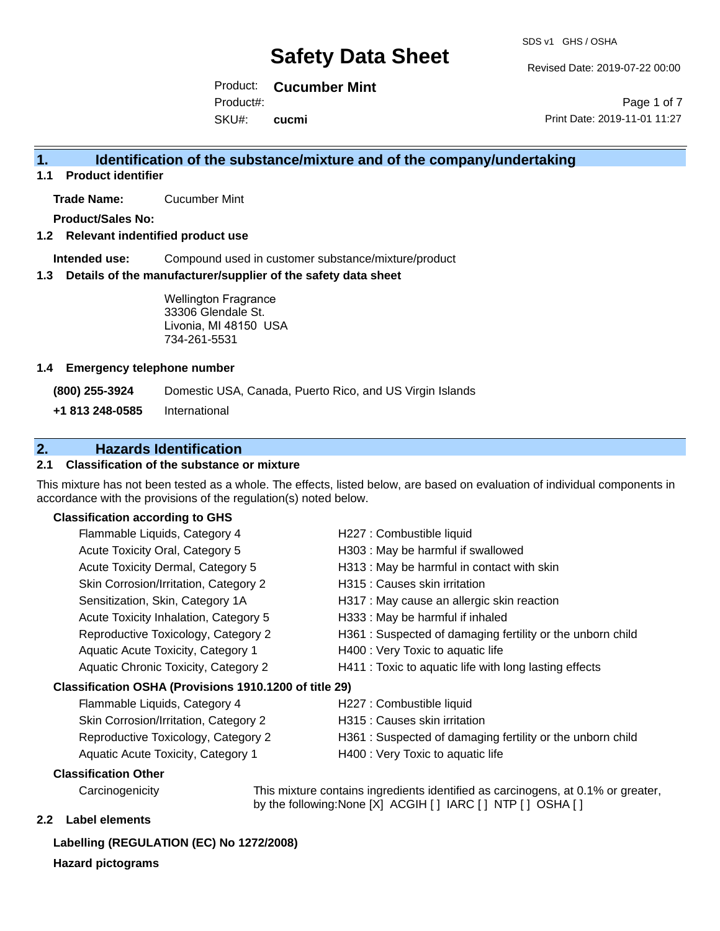Revised Date: 2019-07-22 00:00

Page 1 of 7

Product: **Cucumber Mint** Product#:

SKU#: **cucmi** Print Date: 2019-11-01 11:27

### **1. Identification of the substance/mixture and of the company/undertaking**

**1.1 Product identifier**

**Trade Name:** Cucumber Mint

**Product/Sales No:**

#### **1.2 Relevant indentified product use**

**Intended use:** Compound used in customer substance/mixture/product

#### **1.3 Details of the manufacturer/supplier of the safety data sheet**

Wellington Fragrance 33306 Glendale St. Livonia, MI 48150 USA 734-261-5531

#### **1.4 Emergency telephone number**

**(800) 255-3924** Domestic USA, Canada, Puerto Rico, and US Virgin Islands

**+1 813 248-0585** International

### **2. Hazards Identification**

#### **2.1 Classification of the substance or mixture**

This mixture has not been tested as a whole. The effects, listed below, are based on evaluation of individual components in accordance with the provisions of the regulation(s) noted below.

#### **Classification according to GHS**

| Flammable Liquids, Category 4                          | H227 : Combustible liquid                                 |  |
|--------------------------------------------------------|-----------------------------------------------------------|--|
| Acute Toxicity Oral, Category 5                        | H303 : May be harmful if swallowed                        |  |
| Acute Toxicity Dermal, Category 5                      | H313 : May be harmful in contact with skin                |  |
| Skin Corrosion/Irritation, Category 2                  | H315 : Causes skin irritation                             |  |
| Sensitization, Skin, Category 1A                       | H317 : May cause an allergic skin reaction                |  |
| Acute Toxicity Inhalation, Category 5                  | H333: May be harmful if inhaled                           |  |
| Reproductive Toxicology, Category 2                    | H361: Suspected of damaging fertility or the unborn child |  |
| Aquatic Acute Toxicity, Category 1                     | H400 : Very Toxic to aquatic life                         |  |
| Aquatic Chronic Toxicity, Category 2                   | H411 : Toxic to aquatic life with long lasting effects    |  |
| Classification OSHA (Provisions 1910.1200 of title 29) |                                                           |  |
| Flammable Liquids, Category 4                          | H227 : Combustible liquid                                 |  |

| Flammable Liquids, Category 4         |
|---------------------------------------|
| Skin Corrosion/Irritation, Category 2 |
| Reproductive Toxicology, Category 2   |
| Aquatic Acute Toxicity, Category 1    |

- H315 : Causes skin irritation
- H361 : Suspected of damaging fertility or the unborn child
- H400 : Very Toxic to aquatic life

#### **Classification Other**

Carcinogenicity This mixture contains ingredients identified as carcinogens, at 0.1% or greater, by the following:None [X] ACGIH [ ] IARC [ ] NTP [ ] OSHA [ ]

#### **2.2 Label elements**

#### **Labelling (REGULATION (EC) No 1272/2008)**

**Hazard pictograms**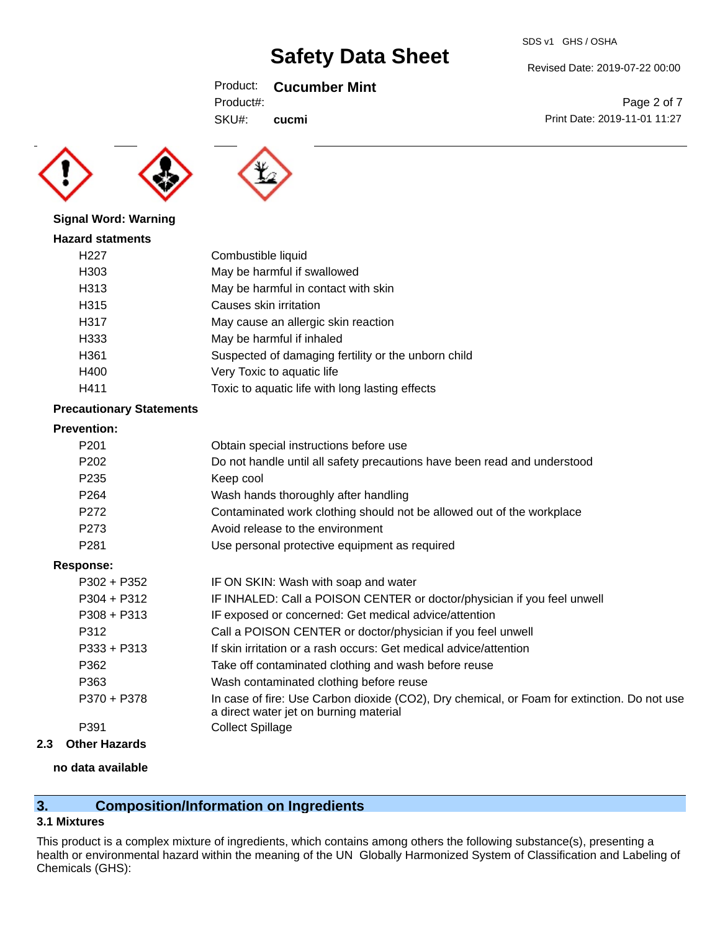### Product: **Cucumber Mint**

| SDS v1 GHS / OSHA |
|-------------------|
|                   |

Revised Date: 2019-07-22 00:00

Print Date: 2019-11-01 11:27

Page 2 of 7

Product#:

SKU#: **cucmi**





# **Signal Word: Warning**

| <b>Hazard statments</b> |                                                     |
|-------------------------|-----------------------------------------------------|
| H <sub>22</sub> 7       | Combustible liquid                                  |
| H303                    | May be harmful if swallowed                         |
| H313                    | May be harmful in contact with skin                 |
| H315                    | Causes skin irritation                              |
| H317                    | May cause an allergic skin reaction                 |
| H333                    | May be harmful if inhaled                           |
| H361                    | Suspected of damaging fertility or the unborn child |
| H400                    | Very Toxic to aquatic life                          |
| H411                    | Toxic to aquatic life with long lasting effects     |

#### **Precautionary Statements**

### **Prevention:**

| <b>Prevention:</b> |                                                                                                                                       |
|--------------------|---------------------------------------------------------------------------------------------------------------------------------------|
| P <sub>201</sub>   | Obtain special instructions before use                                                                                                |
| P <sub>202</sub>   | Do not handle until all safety precautions have been read and understood                                                              |
| P <sub>235</sub>   | Keep cool                                                                                                                             |
| P <sub>264</sub>   | Wash hands thoroughly after handling                                                                                                  |
| P272               | Contaminated work clothing should not be allowed out of the workplace                                                                 |
| P273               | Avoid release to the environment                                                                                                      |
| P <sub>281</sub>   | Use personal protective equipment as required                                                                                         |
| <b>Response:</b>   |                                                                                                                                       |
| $P302 + P352$      | IF ON SKIN: Wash with soap and water                                                                                                  |
| $P304 + P312$      | IF INHALED: Call a POISON CENTER or doctor/physician if you feel unwell                                                               |
| $P308 + P313$      | IF exposed or concerned: Get medical advice/attention                                                                                 |
| P312               | Call a POISON CENTER or doctor/physician if you feel unwell                                                                           |
| $P333 + P313$      | If skin irritation or a rash occurs: Get medical advice/attention                                                                     |
| P362               | Take off contaminated clothing and wash before reuse                                                                                  |
| P363               | Wash contaminated clothing before reuse                                                                                               |
| P370 + P378        | In case of fire: Use Carbon dioxide (CO2), Dry chemical, or Foam for extinction. Do not use<br>a direct water jet on burning material |
| P391               | <b>Collect Spillage</b>                                                                                                               |
|                    |                                                                                                                                       |

### **2.3 Other Hazards**

#### **no data available**

# **3. Composition/Information on Ingredients**

#### **3.1 Mixtures**

This product is a complex mixture of ingredients, which contains among others the following substance(s), presenting a health or environmental hazard within the meaning of the UN Globally Harmonized System of Classification and Labeling of Chemicals (GHS):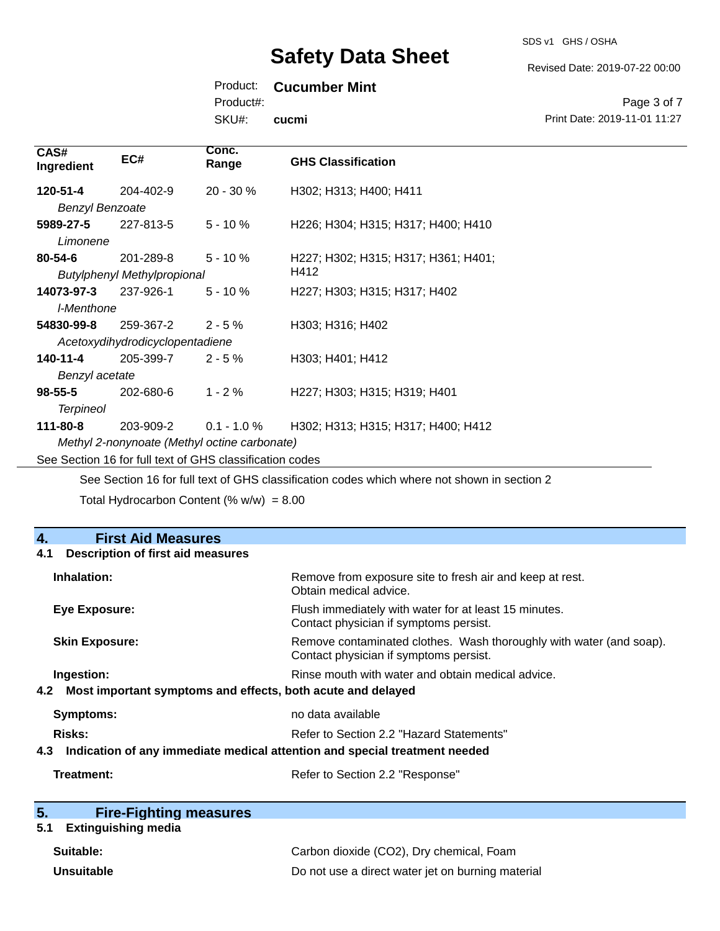SDS v1 GHS / OSHA

Revised Date: 2019-07-22 00:00

### Product: **Cucumber Mint**

Product#:

SKU#: **cucmi**

Page 3 of 7 Print Date: 2019-11-01 11:27

| CAS#<br>Ingredient                                       | EC#                                | Conc.<br>Range | <b>GHS Classification</b>                                                                    |  |
|----------------------------------------------------------|------------------------------------|----------------|----------------------------------------------------------------------------------------------|--|
| 120-51-4                                                 | 204-402-9                          | $20 - 30 \%$   | H302; H313; H400; H411                                                                       |  |
| <b>Benzyl Benzoate</b>                                   |                                    |                |                                                                                              |  |
| 5989-27-5                                                | 227-813-5                          | $5 - 10%$      | H226; H304; H315; H317; H400; H410                                                           |  |
| Limonene                                                 |                                    |                |                                                                                              |  |
| $80 - 54 - 6$                                            | 201-289-8                          | $5 - 10 \%$    | H227; H302; H315; H317; H361; H401;                                                          |  |
|                                                          | <b>Butylphenyl Methylpropional</b> |                | H412                                                                                         |  |
| 14073-97-3                                               | 237-926-1                          | $5 - 10 \%$    | H227; H303; H315; H317; H402                                                                 |  |
| I-Menthone                                               |                                    |                |                                                                                              |  |
| 54830-99-8                                               | 259-367-2                          | $2 - 5%$       | H303; H316; H402                                                                             |  |
| Acetoxydihydrodicyclopentadiene                          |                                    |                |                                                                                              |  |
| 140-11-4                                                 | 205-399-7                          | $2 - 5%$       | H303; H401; H412                                                                             |  |
| Benzyl acetate                                           |                                    |                |                                                                                              |  |
| $98 - 55 - 5$                                            | 202-680-6                          | $1 - 2%$       | H <sub>227</sub> ; H <sub>303</sub> ; H <sub>315</sub> ; H <sub>319</sub> ; H <sub>401</sub> |  |
| <b>Terpineol</b>                                         |                                    |                |                                                                                              |  |
| 111-80-8                                                 | 203-909-2                          | $0.1 - 1.0 %$  | H302; H313; H315; H317; H400; H412                                                           |  |
| Methyl 2-nonynoate (Methyl octine carbonate)             |                                    |                |                                                                                              |  |
| See Section 16 for full text of GHS classification codes |                                    |                |                                                                                              |  |

See Section 16 for full text of GHS classification codes which where not shown in section 2

Total Hydrocarbon Content (%  $w/w$ ) = 8.00

| 4.<br><b>First Aid Measures</b>                                                   |                                                                                                               |  |
|-----------------------------------------------------------------------------------|---------------------------------------------------------------------------------------------------------------|--|
| <b>Description of first aid measures</b><br>4.1                                   |                                                                                                               |  |
| Inhalation:                                                                       | Remove from exposure site to fresh air and keep at rest.<br>Obtain medical advice.                            |  |
| Eye Exposure:                                                                     | Flush immediately with water for at least 15 minutes.<br>Contact physician if symptoms persist.               |  |
| <b>Skin Exposure:</b>                                                             | Remove contaminated clothes. Wash thoroughly with water (and soap).<br>Contact physician if symptoms persist. |  |
| Ingestion:                                                                        | Rinse mouth with water and obtain medical advice.                                                             |  |
| Most important symptoms and effects, both acute and delayed<br>4.2                |                                                                                                               |  |
| Symptoms:                                                                         | no data available                                                                                             |  |
| <b>Risks:</b>                                                                     | Refer to Section 2.2 "Hazard Statements"                                                                      |  |
| Indication of any immediate medical attention and special treatment needed<br>4.3 |                                                                                                               |  |
| Treatment:                                                                        | Refer to Section 2.2 "Response"                                                                               |  |
|                                                                                   |                                                                                                               |  |

| 5. |  | <b>Fire-Fighting measures</b> |
|----|--|-------------------------------|
|    |  |                               |

# **5.1 Extinguishing media**

| Suitable:  | Carbon dioxide (CO2), Dry chemical, Foam          |
|------------|---------------------------------------------------|
| Unsuitable | Do not use a direct water jet on burning material |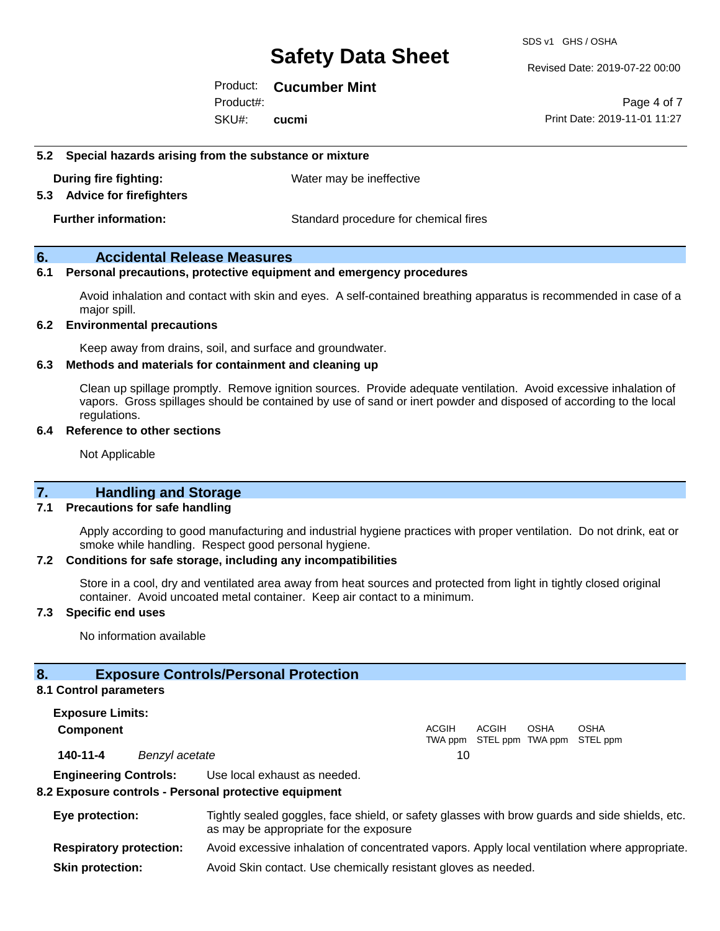#### Revised Date: 2019-07-22 00:00

Product: **Cucumber Mint** Product#:

SKU#: **cucmi**

Page 4 of 7 Print Date: 2019-11-01 11:27

#### **5.2 Special hazards arising from the substance or mixture**

**During fire fighting:** Water may be ineffective

#### **5.3 Advice for firefighters**

**Further information:** Standard procedure for chemical fires

#### **6. Accidental Release Measures**

#### **6.1 Personal precautions, protective equipment and emergency procedures**

Avoid inhalation and contact with skin and eyes. A self-contained breathing apparatus is recommended in case of a major spill.

#### **6.2 Environmental precautions**

Keep away from drains, soil, and surface and groundwater.

#### **6.3 Methods and materials for containment and cleaning up**

Clean up spillage promptly. Remove ignition sources. Provide adequate ventilation. Avoid excessive inhalation of vapors. Gross spillages should be contained by use of sand or inert powder and disposed of according to the local regulations.

#### **6.4 Reference to other sections**

Not Applicable

#### **7. Handling and Storage**

#### **7.1 Precautions for safe handling**

Apply according to good manufacturing and industrial hygiene practices with proper ventilation. Do not drink, eat or smoke while handling. Respect good personal hygiene.

#### **7.2 Conditions for safe storage, including any incompatibilities**

Store in a cool, dry and ventilated area away from heat sources and protected from light in tightly closed original container. Avoid uncoated metal container. Keep air contact to a minimum.

#### **7.3 Specific end uses**

No information available

#### **8. Exposure Controls/Personal Protection**

#### **8.1 Control parameters**

**Exposure Limits: Component** ACGIH TWA ppm STEL ppm TWA ppm STEL ppm ACGIH **OSHA** OSHA **140-11-4** *Benzyl acetate* 10 **Engineering Controls:** Use local exhaust as needed.

#### **8.2 Exposure controls - Personal protective equipment**

| Eye protection:                | Tightly sealed goggles, face shield, or safety glasses with brow guards and side shields, etc.<br>as may be appropriate for the exposure |
|--------------------------------|------------------------------------------------------------------------------------------------------------------------------------------|
| <b>Respiratory protection:</b> | Avoid excessive inhalation of concentrated vapors. Apply local ventilation where appropriate.                                            |
| <b>Skin protection:</b>        | Avoid Skin contact. Use chemically resistant gloves as needed.                                                                           |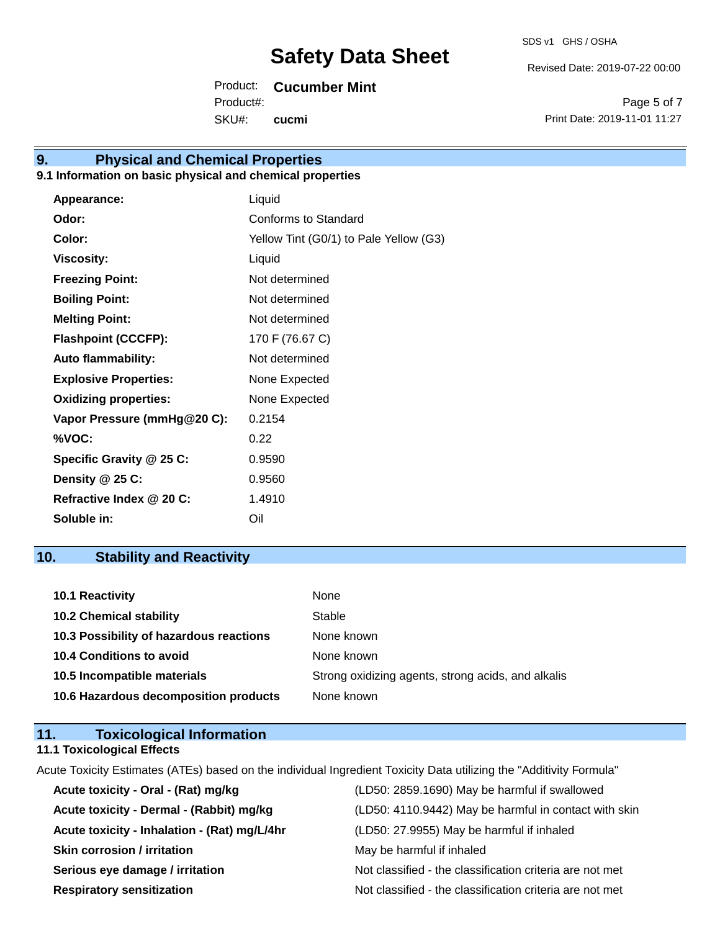Revised Date: 2019-07-22 00:00

Product: **Cucumber Mint**

SKU#: Product#: **cucmi**

Page 5 of 7 Print Date: 2019-11-01 11:27

# **9. Physical and Chemical Properties**

#### **9.1 Information on basic physical and chemical properties**

| Appearance:                  | Liquid                                 |
|------------------------------|----------------------------------------|
| Odor:                        | Conforms to Standard                   |
| Color:                       | Yellow Tint (G0/1) to Pale Yellow (G3) |
| <b>Viscosity:</b>            | Liquid                                 |
| <b>Freezing Point:</b>       | Not determined                         |
| <b>Boiling Point:</b>        | Not determined                         |
| <b>Melting Point:</b>        | Not determined                         |
| <b>Flashpoint (CCCFP):</b>   | 170 F (76.67 C)                        |
| <b>Auto flammability:</b>    | Not determined                         |
| <b>Explosive Properties:</b> | None Expected                          |
| <b>Oxidizing properties:</b> | None Expected                          |
| Vapor Pressure (mmHg@20 C):  | 0.2154                                 |
| %VOC:                        | 0.22                                   |
| Specific Gravity @ 25 C:     | 0.9590                                 |
| Density @ 25 C:              | 0.9560                                 |
| Refractive Index @ 20 C:     | 1.4910                                 |
| Soluble in:                  | Oil                                    |

# **10. Stability and Reactivity**

| 10.1 Reactivity                         | None                                               |
|-----------------------------------------|----------------------------------------------------|
| <b>10.2 Chemical stability</b>          | Stable                                             |
| 10.3 Possibility of hazardous reactions | None known                                         |
| <b>10.4 Conditions to avoid</b>         | None known                                         |
| 10.5 Incompatible materials             | Strong oxidizing agents, strong acids, and alkalis |
| 10.6 Hazardous decomposition products   | None known                                         |

### **11. Toxicological Information 11.1 Toxicological Effects**

Acute Toxicity Estimates (ATEs) based on the individual Ingredient Toxicity Data utilizing the "Additivity Formula"

| Acute toxicity - Oral - (Rat) mg/kg          | (LD50: 2859.1690) May be harmful if swallowed            |
|----------------------------------------------|----------------------------------------------------------|
| Acute toxicity - Dermal - (Rabbit) mg/kg     | (LD50: 4110.9442) May be harmful in contact with skin    |
| Acute toxicity - Inhalation - (Rat) mg/L/4hr | (LD50: 27.9955) May be harmful if inhaled                |
| <b>Skin corrosion / irritation</b>           | May be harmful if inhaled                                |
| Serious eye damage / irritation              | Not classified - the classification criteria are not met |
| <b>Respiratory sensitization</b>             | Not classified - the classification criteria are not met |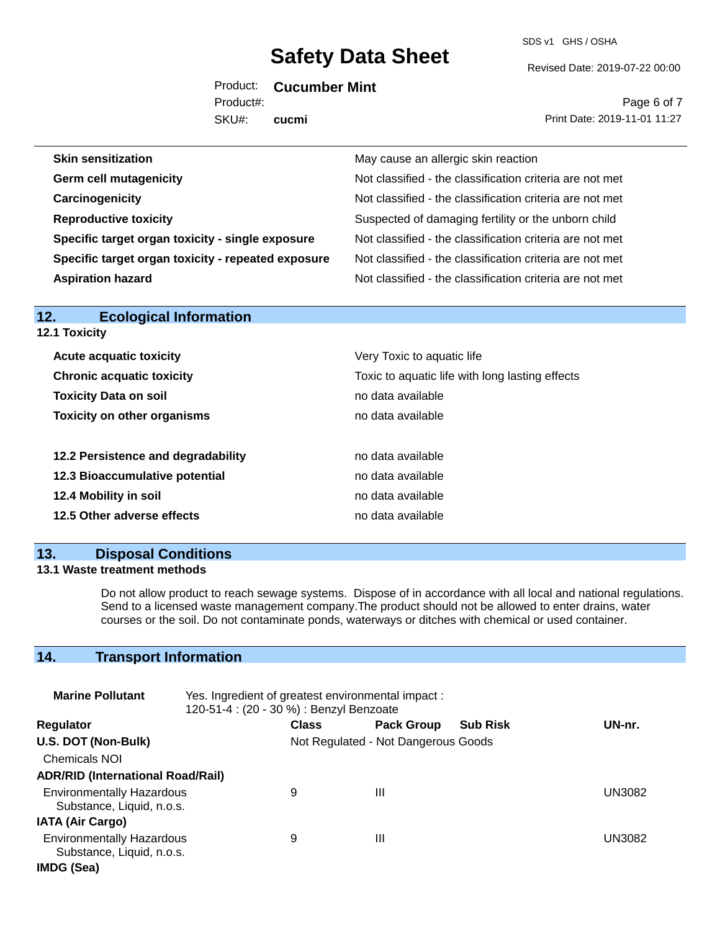SDS v1 GHS / OSHA

Revised Date: 2019-07-22 00:00

Product: **Cucumber Mint** Product#:

SKU#: **cucmi**

Page 6 of 7 Print Date: 2019-11-01 11:27

| <b>Skin sensitization</b>                          | May cause an allergic skin reaction                      |
|----------------------------------------------------|----------------------------------------------------------|
| <b>Germ cell mutagenicity</b>                      | Not classified - the classification criteria are not met |
| Carcinogenicity                                    | Not classified - the classification criteria are not met |
| <b>Reproductive toxicity</b>                       | Suspected of damaging fertility or the unborn child      |
| Specific target organ toxicity - single exposure   | Not classified - the classification criteria are not met |
| Specific target organ toxicity - repeated exposure | Not classified - the classification criteria are not met |
| <b>Aspiration hazard</b>                           | Not classified - the classification criteria are not met |
|                                                    |                                                          |

| 12.1 Toxicity                      |                                                 |
|------------------------------------|-------------------------------------------------|
| <b>Acute acquatic toxicity</b>     | Very Toxic to aquatic life                      |
| <b>Chronic acquatic toxicity</b>   | Toxic to aquatic life with long lasting effects |
| <b>Toxicity Data on soil</b>       | no data available                               |
| <b>Toxicity on other organisms</b> | no data available                               |
| 12.2 Persistence and degradability | no data available                               |
| 12.3 Bioaccumulative potential     | no data available                               |
| 12.4 Mobility in soil              | no data available                               |
| 12.5 Other adverse effects         | no data available                               |

### **13. Disposal Conditions**

**12. Ecological Information** 

#### **13.1 Waste treatment methods**

Do not allow product to reach sewage systems. Dispose of in accordance with all local and national regulations. Send to a licensed waste management company.The product should not be allowed to enter drains, water courses or the soil. Do not contaminate ponds, waterways or ditches with chemical or used container.

# **14. Transport Information**

| <b>Marine Pollutant</b>                                       | Yes. Ingredient of greatest environmental impact:<br>120-51-4 : (20 - 30 %) : Benzyl Benzoate |              |                                     |                 |        |
|---------------------------------------------------------------|-----------------------------------------------------------------------------------------------|--------------|-------------------------------------|-----------------|--------|
| <b>Regulator</b>                                              |                                                                                               | <b>Class</b> | <b>Pack Group</b>                   | <b>Sub Risk</b> | UN-nr. |
| U.S. DOT (Non-Bulk)                                           |                                                                                               |              | Not Regulated - Not Dangerous Goods |                 |        |
| <b>Chemicals NOI</b>                                          |                                                                                               |              |                                     |                 |        |
| <b>ADR/RID (International Road/Rail)</b>                      |                                                                                               |              |                                     |                 |        |
| <b>Environmentally Hazardous</b><br>Substance, Liquid, n.o.s. |                                                                                               | 9            | Ш                                   |                 | UN3082 |
| <b>IATA (Air Cargo)</b>                                       |                                                                                               |              |                                     |                 |        |
| <b>Environmentally Hazardous</b><br>Substance, Liquid, n.o.s. |                                                                                               | 9            | Ш                                   |                 | UN3082 |
| IMDG (Sea)                                                    |                                                                                               |              |                                     |                 |        |